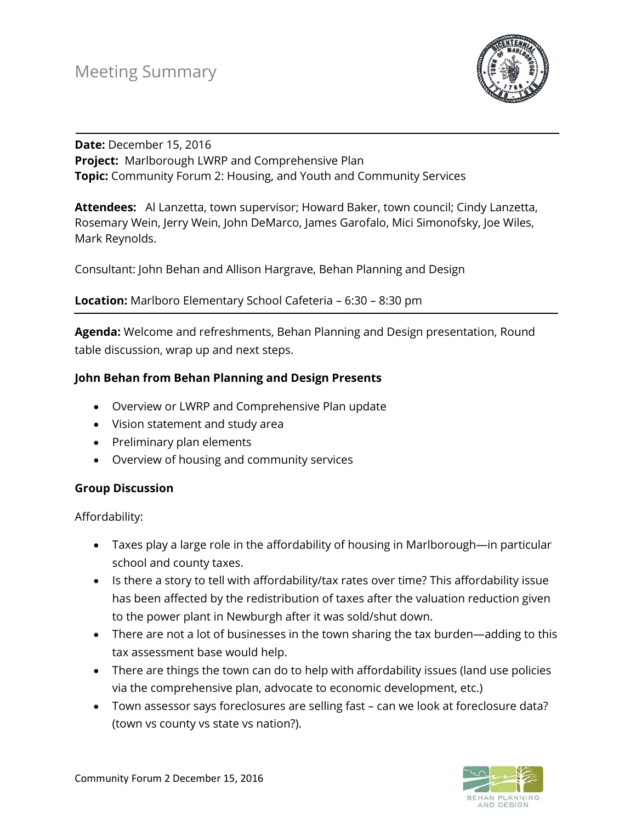

### **Date:** December 15, 2016 **Project:** Marlborough LWRP and Comprehensive Plan **Topic:** Community Forum 2: Housing, and Youth and Community Services

**Attendees:** Al Lanzetta, town supervisor; Howard Baker, town council; Cindy Lanzetta, Rosemary Wein, Jerry Wein, John DeMarco, James Garofalo, Mici Simonofsky, Joe Wiles, Mark Reynolds.

Consultant: John Behan and Allison Hargrave, Behan Planning and Design

### **Location:** Marlboro Elementary School Cafeteria – 6:30 – 8:30 pm

**Agenda:** Welcome and refreshments, Behan Planning and Design presentation, Round table discussion, wrap up and next steps.

## **John Behan from Behan Planning and Design Presents**

- Overview or LWRP and Comprehensive Plan update
- Vision statement and study area
- Preliminary plan elements
- Overview of housing and community services

#### **Group Discussion**

Affordability:

- Taxes play a large role in the affordability of housing in Marlborough—in particular school and county taxes.
- Is there a story to tell with affordability/tax rates over time? This affordability issue has been affected by the redistribution of taxes after the valuation reduction given to the power plant in Newburgh after it was sold/shut down.
- There are not a lot of businesses in the town sharing the tax burden—adding to this tax assessment base would help.
- There are things the town can do to help with affordability issues (land use policies via the comprehensive plan, advocate to economic development, etc.)
- Town assessor says foreclosures are selling fast can we look at foreclosure data? (town vs county vs state vs nation?).

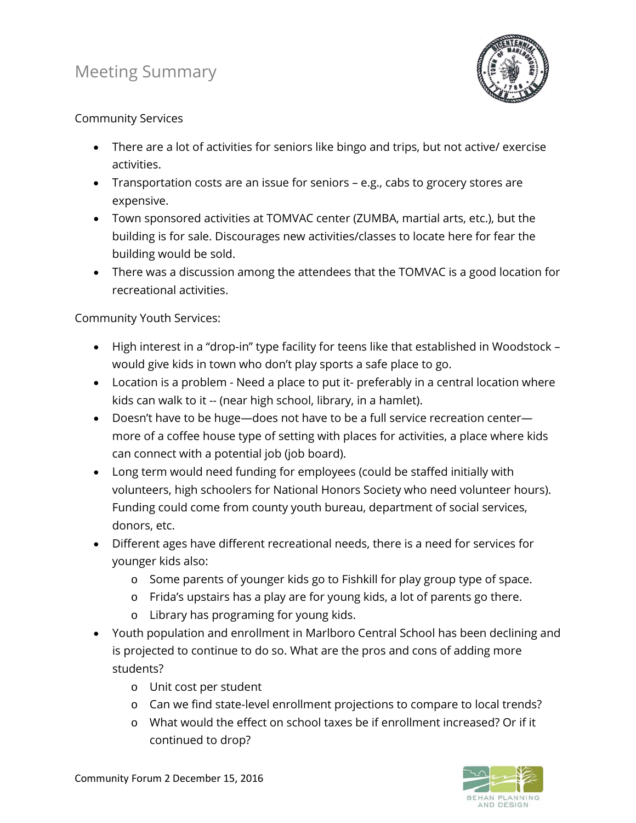# Meeting Summary



## Community Services

- There are a lot of activities for seniors like bingo and trips, but not active/ exercise activities.
- Transportation costs are an issue for seniors e.g., cabs to grocery stores are expensive.
- Town sponsored activities at TOMVAC center (ZUMBA, martial arts, etc.), but the building is for sale. Discourages new activities/classes to locate here for fear the building would be sold.
- There was a discussion among the attendees that the TOMVAC is a good location for recreational activities.

## Community Youth Services:

- High interest in a "drop-in" type facility for teens like that established in Woodstock would give kids in town who don't play sports a safe place to go.
- Location is a problem Need a place to put it- preferably in a central location where kids can walk to it -- (near high school, library, in a hamlet).
- Doesn't have to be huge—does not have to be a full service recreation center more of a coffee house type of setting with places for activities, a place where kids can connect with a potential job (job board).
- Long term would need funding for employees (could be staffed initially with volunteers, high schoolers for National Honors Society who need volunteer hours). Funding could come from county youth bureau, department of social services, donors, etc.
- Different ages have different recreational needs, there is a need for services for younger kids also:
	- o Some parents of younger kids go to Fishkill for play group type of space.
	- o Frida's upstairs has a play are for young kids, a lot of parents go there.
	- o Library has programing for young kids.
- Youth population and enrollment in Marlboro Central School has been declining and is projected to continue to do so. What are the pros and cons of adding more students?
	- o Unit cost per student
	- o Can we find state-level enrollment projections to compare to local trends?
	- o What would the effect on school taxes be if enrollment increased? Or if it continued to drop?